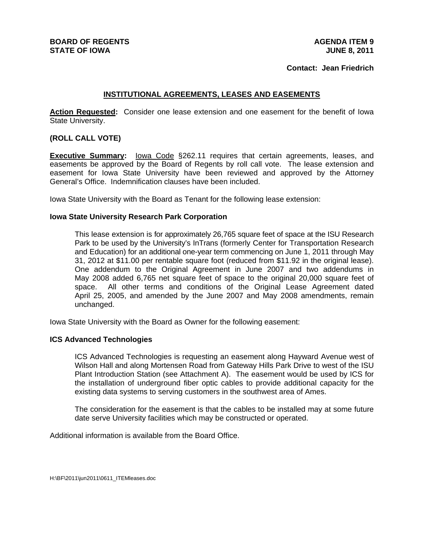#### **Contact: Jean Friedrich**

## **INSTITUTIONAL AGREEMENTS, LEASES AND EASEMENTS**

**Action Requested:** Consider one lease extension and one easement for the benefit of Iowa State University.

### **(ROLL CALL VOTE)**

**Executive Summary:** lowa Code §262.11 requires that certain agreements, leases, and easements be approved by the Board of Regents by roll call vote. The lease extension and easement for Iowa State University have been reviewed and approved by the Attorney General's Office. Indemnification clauses have been included.

Iowa State University with the Board as Tenant for the following lease extension:

#### **Iowa State University Research Park Corporation**

This lease extension is for approximately 26,765 square feet of space at the ISU Research Park to be used by the University's InTrans (formerly Center for Transportation Research and Education) for an additional one-year term commencing on June 1, 2011 through May 31, 2012 at \$11.00 per rentable square foot (reduced from \$11.92 in the original lease). One addendum to the Original Agreement in June 2007 and two addendums in May 2008 added 6,765 net square feet of space to the original 20,000 square feet of space. All other terms and conditions of the Original Lease Agreement dated April 25, 2005, and amended by the June 2007 and May 2008 amendments, remain unchanged.

Iowa State University with the Board as Owner for the following easement:

#### **ICS Advanced Technologies**

ICS Advanced Technologies is requesting an easement along Hayward Avenue west of Wilson Hall and along Mortensen Road from Gateway Hills Park Drive to west of the ISU Plant Introduction Station (see Attachment A). The easement would be used by ICS for the installation of underground fiber optic cables to provide additional capacity for the existing data systems to serving customers in the southwest area of Ames.

The consideration for the easement is that the cables to be installed may at some future date serve University facilities which may be constructed or operated.

Additional information is available from the Board Office.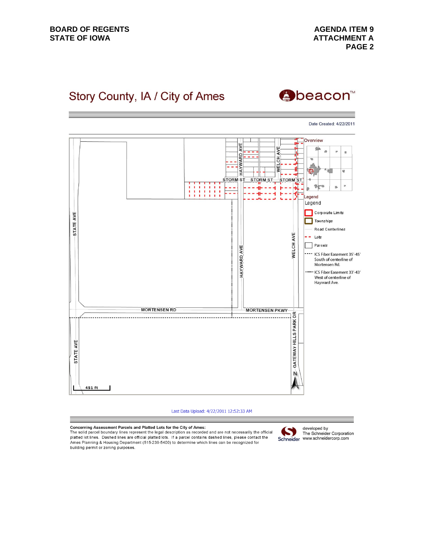**AGENDA ITEM 9 ATTACHMENT A PAGE 2**

# Story County, IA / City of Ames



Date Created: 4/22/2011 Overview AVE A٧F 着  $\overline{a}$  $\overline{a}$  $\bar{\mathbf{u}}$ HAYWARD **WELCH**  $\overline{\phantom{a}}$ E)  $\overline{a}$ STORM ST STORM ST **STORM ST** 料 p. is. Ħ Ħ 揖 н ۴ 證 --4 τ. ᆂ H Legend Legend Corporate Limits STATE AVE Townships Road Centerlines WELCH AVE  $--$  Lots  $\boxed{\phantom{1}}$  Parcels **HAYWARD AVE** ICS Fiber Easement 35'-45' South of centerline of Mortensen Rd. ICS Fiber Easement 33'-43' West of centerline of Hayward Ave. **MORTENSEN RD MORTENSEN PKWY** GATEWAY HILLS PARK DR STATE AVE Ń 451 ft

Last Data Upload: 4/22/2011 12:52:33 AM

Concerning Assessment Parcels and Platted Lots for the City of Ames:

The solid parcel boundary lines represent the legal description as recorded and are not necessarily the official<br>platted lot lines. Dashed lines are official platted lots. If a parcel contains dashed lines, please contact Ames Planning & Housing Department (515-239-5400) to determine which lines can be recognized for building permit or zoning purposes.



developed by The Schneider Corporation Schneider www.schneidercorp.com